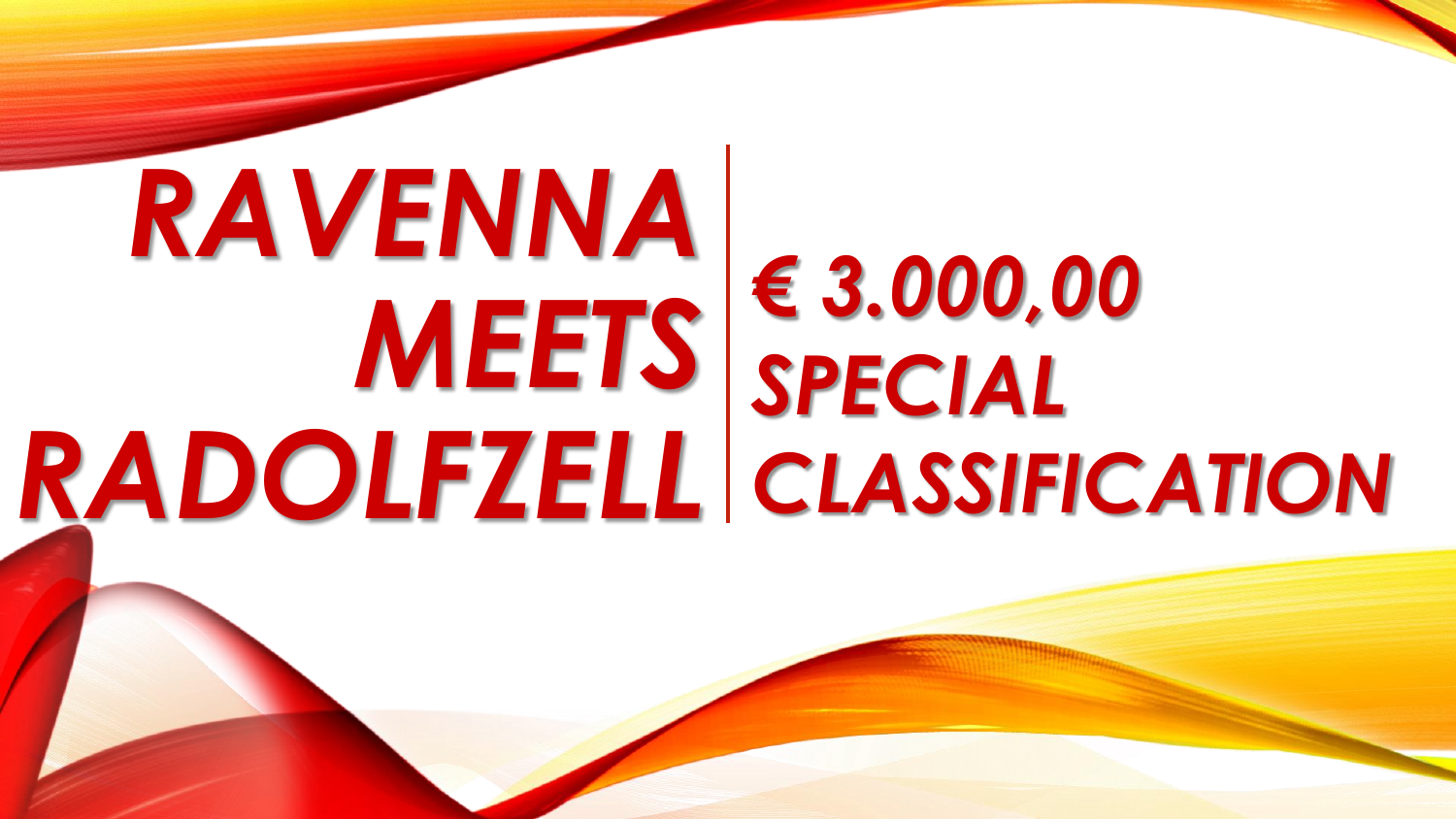## *RAVENNA MEETS RADOLFZELL € 3.000,00 SPECIAL CLASSIFICATION*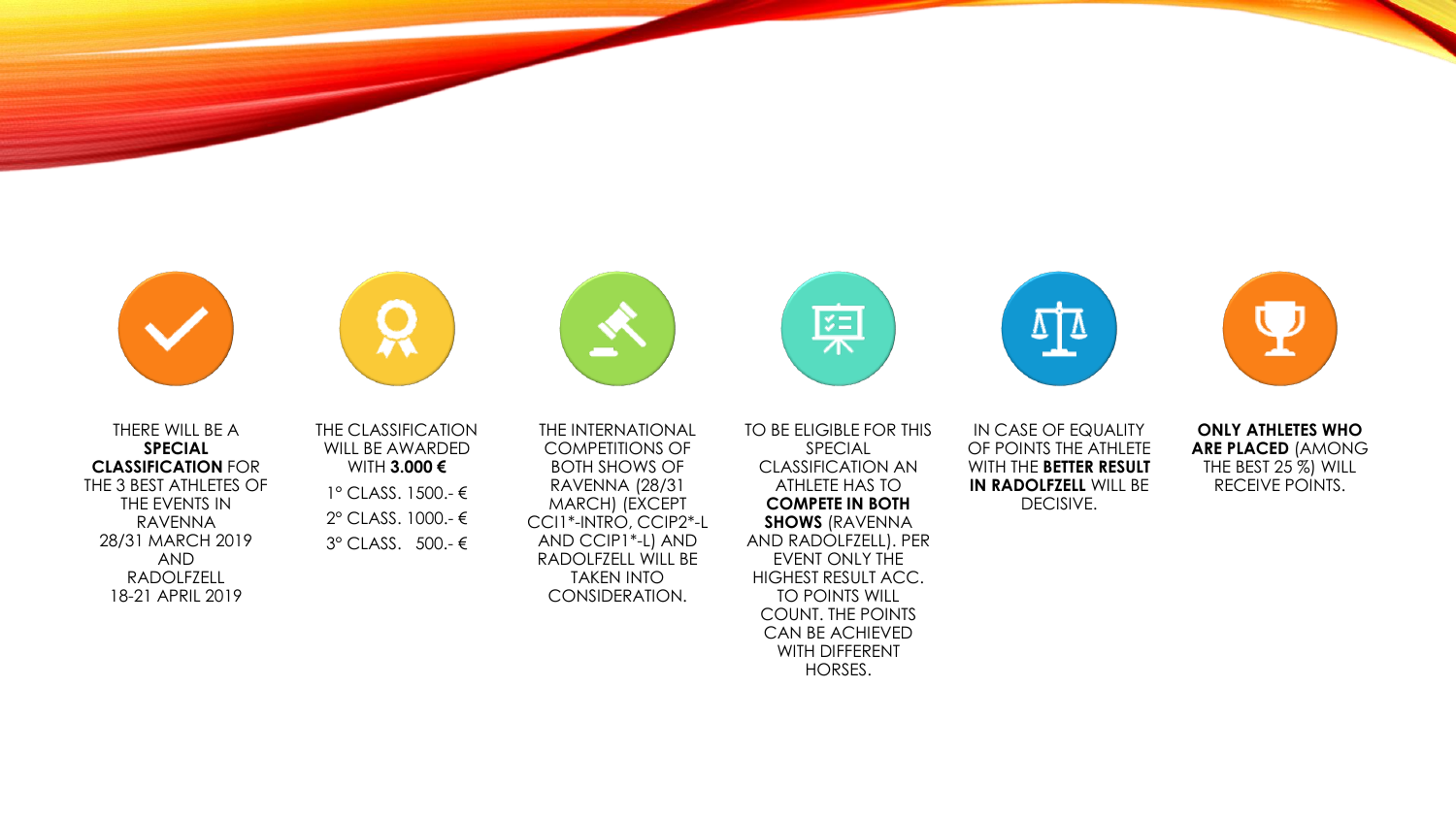



THERE WILL BE A **SPECIAL CLASSIFICATION** FOR THE 3 BEST ATHLETES OF THE EVENTS IN RAVENNA 28/31 MARCH 2019 AND RADOLFZELL 18-21 APRIL 2019

THE CLASSIFICATION WILL BE AWARDED WITH **3.000 €** 1° CLASS. 1500.- € 2° CLASS. 1000.- € 3° CLASS. 500.- €



THE INTERNATIONAL COMPETITIONS OF BOTH SHOWS OF RAVENNA (28/31 MARCH) (EXCEPT CCI1\*-INTRO, CCIP2\*-L AND CCIP1\*-L) AND RADOLFZELL WILL BE TAKEN INTO CONSIDERATION.

军



IN CASE OF EQUALITY OF POINTS THE ATHLETE WITH THE **BETTER RESULT IN RADOLFZELL WILL BE** DECISIVE.

**ONLY ATHLETES WHO ARE PLACED** (AMONG THE BEST 25 %) WILL RECEIVE POINTS.

TO BE ELIGIBLE FOR THIS SPECIAL CLASSIFICATION AN ATHLETE HAS TO **COMPETE IN BOTH SHOWS** (RAVENNA AND RADOLFZELL). PER EVENT ONLY THE HIGHEST RESULT ACC. TO POINTS WILL COUNT. THE POINTS CAN BE ACHIEVED WITH DIFFERENT HORSES.